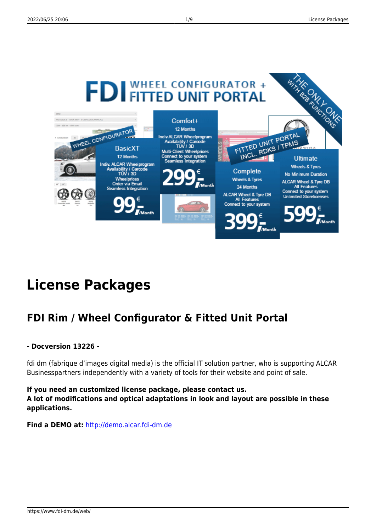

# **License Packages**

# **FDI Rim / Wheel Configurator & Fitted Unit Portal**

#### **- Docversion 13226 -**

fdi dm (fabrique d'images digital media) is the official IT solution partner, who is supporting ALCAR Businesspartners independently with a variety of tools for their website and point of sale.

**If you need an customized license package, please contact us. A lot of modifications and optical adaptations in look and layout are possible in these applications.**

**Find a DEMO at:** <http://demo.alcar.fdi-dm.de>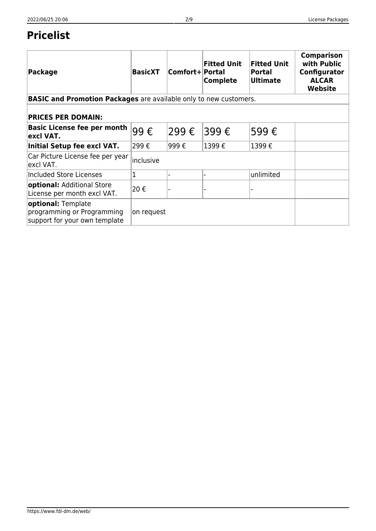# **Pricelist**

| <b>Package</b>                                                                    | <b>BasicXT</b> | Comfort+ Portal | <b>Fitted Unit</b><br><b>Complete</b> | <b>Fitted Unit</b><br><b>Portal</b><br><b>Ultimate</b> | <b>Comparison</b><br>with Public<br>Configurator<br><b>ALCAR</b><br>Website |  |  |
|-----------------------------------------------------------------------------------|----------------|-----------------|---------------------------------------|--------------------------------------------------------|-----------------------------------------------------------------------------|--|--|
| <b>BASIC and Promotion Packages</b> are available only to new customers.          |                |                 |                                       |                                                        |                                                                             |  |  |
| <b>PRICES PER DOMAIN:</b>                                                         |                |                 |                                       |                                                        |                                                                             |  |  |
| <b>Basic License fee per month</b><br>excl VAT.                                   | 99€            | 299€            | 399 €                                 | 599€                                                   |                                                                             |  |  |
| Initial Setup fee excl VAT.                                                       | 299€           | 999€            | 1399€                                 | 1399€                                                  |                                                                             |  |  |
| Car Picture License fee per year<br>excl VAT.                                     | inclusive      |                 |                                       |                                                        |                                                                             |  |  |
| Included Store Licenses                                                           | $\mathbf 1$    |                 |                                       | unlimited                                              |                                                                             |  |  |
| optional: Additional Store<br>License per month excl VAT.                         | 20€            |                 |                                       |                                                        |                                                                             |  |  |
| optional: Template<br>programming or Programming<br>support for your own template | on request     |                 |                                       |                                                        |                                                                             |  |  |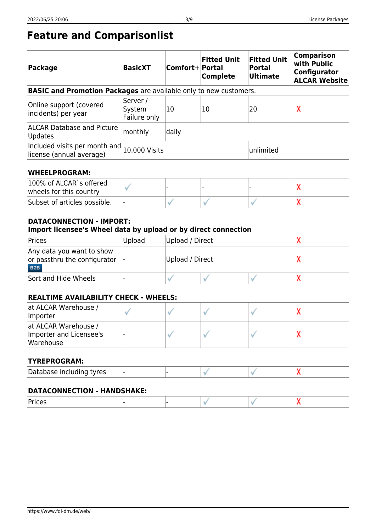# **Feature and Comparisonlist**

| <b>Package</b>                                                                                                                                | <b>BasicXT</b>                     | Comfort+ Portal | <b>Fitted Unit</b><br><b>Complete</b> | <b>Fitted Unit</b><br><b>Portal</b><br><b>Ultimate</b> | <b>Comparison</b><br>with Public<br>Configurator<br><b>ALCAR Website</b> |  |  |
|-----------------------------------------------------------------------------------------------------------------------------------------------|------------------------------------|-----------------|---------------------------------------|--------------------------------------------------------|--------------------------------------------------------------------------|--|--|
| <b>BASIC and Promotion Packages</b> are available only to new customers.                                                                      |                                    |                 |                                       |                                                        |                                                                          |  |  |
| Online support (covered<br>incidents) per year                                                                                                | Server /<br>System<br>Failure only | 10              | 10                                    | 20                                                     | χ                                                                        |  |  |
| <b>ALCAR Database and Picture</b><br>Updates                                                                                                  | monthly                            | daily           |                                       |                                                        |                                                                          |  |  |
| Included visits per month and<br>license (annual average)                                                                                     | <b>10.000 Visits</b>               | unlimited       |                                       |                                                        |                                                                          |  |  |
| <b>WHEELPROGRAM:</b>                                                                                                                          |                                    |                 |                                       |                                                        |                                                                          |  |  |
| 100% of ALCAR`s offered<br>wheels for this country                                                                                            |                                    |                 |                                       |                                                        | χ                                                                        |  |  |
| Subset of articles possible.                                                                                                                  |                                    |                 |                                       |                                                        | χ                                                                        |  |  |
| <b>DATACONNECTION - IMPORT:</b><br>Import licensee's Wheel data by upload or by direct connection<br>Prices<br>χ<br>Upload<br>Upload / Direct |                                    |                 |                                       |                                                        |                                                                          |  |  |
| Any data you want to show<br>or passthru the configurator<br>B <sub>2B</sub>                                                                  |                                    | Upload / Direct |                                       |                                                        | χ                                                                        |  |  |
| Sort and Hide Wheels                                                                                                                          |                                    |                 |                                       |                                                        | χ                                                                        |  |  |
| <b>REALTIME AVAILABILITY CHECK - WHEELS:</b>                                                                                                  |                                    |                 |                                       |                                                        |                                                                          |  |  |
| at ALCAR Warehouse /<br>Importer                                                                                                              |                                    |                 | √                                     | ✓                                                      | χ                                                                        |  |  |
| at ALCAR Warehouse /<br>Importer and Licensee's<br>Warehouse                                                                                  |                                    |                 |                                       |                                                        | χ                                                                        |  |  |
| <b>TYREPROGRAM:</b>                                                                                                                           |                                    |                 |                                       |                                                        |                                                                          |  |  |
| Database including tyres                                                                                                                      |                                    |                 |                                       |                                                        | χ                                                                        |  |  |
| <b>DATACONNECTION - HANDSHAKE:</b>                                                                                                            |                                    |                 |                                       |                                                        |                                                                          |  |  |
| Prices                                                                                                                                        |                                    |                 |                                       |                                                        | χ                                                                        |  |  |
|                                                                                                                                               |                                    |                 |                                       |                                                        |                                                                          |  |  |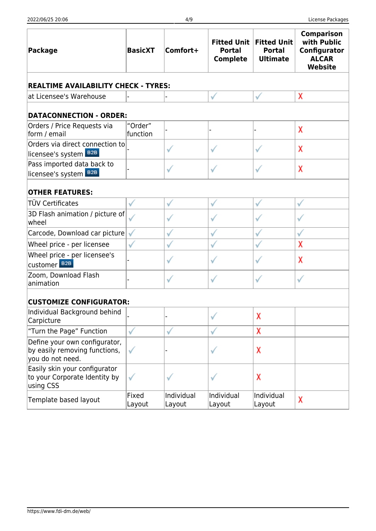| <b>Package</b>                                                                     | <b>BasicXT</b>      | Comfort+             | <b>Fitted Unit</b><br><b>Portal</b><br><b>Complete</b> | <b>Fitted Unit</b><br><b>Portal</b><br><b>Ultimate</b> | <b>Comparison</b><br>with Public<br>Configurator<br><b>ALCAR</b><br><b>Website</b> |  |  |  |  |  |
|------------------------------------------------------------------------------------|---------------------|----------------------|--------------------------------------------------------|--------------------------------------------------------|------------------------------------------------------------------------------------|--|--|--|--|--|
| <b>REALTIME AVAILABILITY CHECK - TYRES:</b>                                        |                     |                      |                                                        |                                                        |                                                                                    |  |  |  |  |  |
| at Licensee's Warehouse                                                            |                     |                      |                                                        | $\checkmark$                                           | χ                                                                                  |  |  |  |  |  |
| <b>DATACONNECTION - ORDER:</b>                                                     |                     |                      |                                                        |                                                        |                                                                                    |  |  |  |  |  |
| Orders / Price Requests via<br>form / email                                        | "Order"<br>function |                      |                                                        |                                                        | χ                                                                                  |  |  |  |  |  |
| Orders via direct connection to                                                    |                     |                      |                                                        |                                                        | χ                                                                                  |  |  |  |  |  |
| licensee's system B2B                                                              |                     |                      |                                                        |                                                        |                                                                                    |  |  |  |  |  |
| Pass imported data back to<br>licensee's system B2B                                |                     |                      |                                                        |                                                        | χ                                                                                  |  |  |  |  |  |
| <b>OTHER FEATURES:</b>                                                             |                     |                      |                                                        |                                                        |                                                                                    |  |  |  |  |  |
| TÜV Certificates                                                                   |                     |                      |                                                        |                                                        |                                                                                    |  |  |  |  |  |
| 3D Flash animation / picture of<br>wheel                                           |                     |                      |                                                        |                                                        |                                                                                    |  |  |  |  |  |
| Carcode, Download car picture                                                      | √                   |                      |                                                        |                                                        |                                                                                    |  |  |  |  |  |
| Wheel price - per licensee                                                         |                     |                      |                                                        |                                                        | χ                                                                                  |  |  |  |  |  |
| Wheel price - per licensee's<br>Customer <sup>B2B</sup>                            |                     |                      |                                                        |                                                        | χ                                                                                  |  |  |  |  |  |
| Zoom, Download Flash<br>animation                                                  |                     |                      |                                                        | $\checkmark$                                           |                                                                                    |  |  |  |  |  |
| <b>CUSTOMIZE CONFIGURATOR:</b>                                                     |                     |                      |                                                        |                                                        |                                                                                    |  |  |  |  |  |
| Individual Background behind<br>Carpicture                                         |                     |                      |                                                        | x                                                      |                                                                                    |  |  |  |  |  |
| "Turn the Page" Function                                                           | √                   |                      |                                                        | χ                                                      |                                                                                    |  |  |  |  |  |
| Define your own configurator,<br>by easily removing functions,<br>you do not need. | ✓                   |                      |                                                        | χ                                                      |                                                                                    |  |  |  |  |  |
| Easily skin your configurator<br>to your Corporate Identity by<br>using CSS        |                     |                      |                                                        | χ                                                      |                                                                                    |  |  |  |  |  |
| Template based layout                                                              | Fixed<br>Layout     | Individual<br>Layout | Individual<br>Layout                                   | Individual<br>Layout                                   | χ                                                                                  |  |  |  |  |  |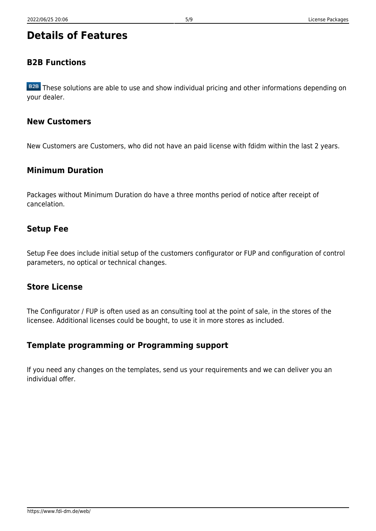# **Details of Features**

# **B2B Functions**

B2B These solutions are able to use and show individual pricing and other informations depending on your dealer.

## **New Customers**

New Customers are Customers, who did not have an paid license with fdidm within the last 2 years.

## **Minimum Duration**

Packages without Minimum Duration do have a three months period of notice after receipt of cancelation.

## **Setup Fee**

Setup Fee does include initial setup of the customers configurator or FUP and configuration of control parameters, no optical or technical changes.

## **Store License**

The Configurator / FUP is often used as an consulting tool at the point of sale, in the stores of the licensee. Additional licenses could be bought, to use it in more stores as included.

### **Template programming or Programming support**

If you need any changes on the templates, send us your requirements and we can deliver you an individual offer.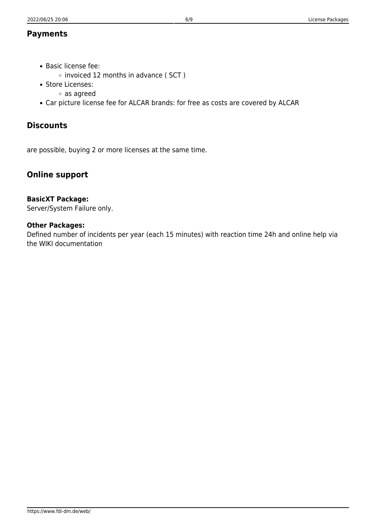### **Payments**

- Basic license fee:
	- $\circ$  invoiced 12 months in advance ( SCT )
- Store Licenses:
	- as agreed
- Car picture license fee for ALCAR brands: for free as costs are covered by ALCAR

# **Discounts**

are possible, buying 2 or more licenses at the same time.

# **Online support**

#### **BasicXT Package:**

Server/System Failure only.

#### **Other Packages:**

Defined number of incidents per year (each 15 minutes) with reaction time 24h and online help via the WIKI documentation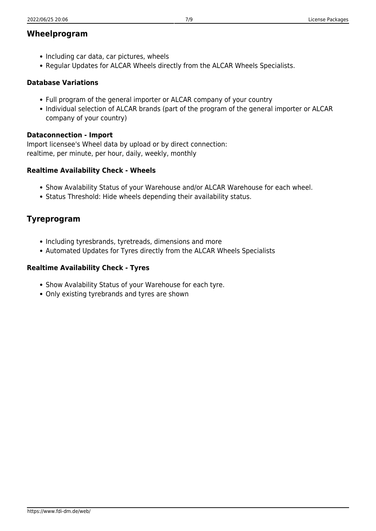### **Wheelprogram**

- Including car data, car pictures, wheels
- Regular Updates for ALCAR Wheels directly from the ALCAR Wheels Specialists.

#### **Database Variations**

- Full program of the general importer or ALCAR company of your country
- Individual selection of ALCAR brands (part of the program of the general importer or ALCAR company of your country)

#### **Dataconnection - Import**

Import licensee's Wheel data by upload or by direct connection: realtime, per minute, per hour, daily, weekly, monthly

#### **Realtime Availability Check - Wheels**

- Show Avalability Status of your Warehouse and/or ALCAR Warehouse for each wheel.
- Status Threshold: Hide wheels depending their availability status.

## **Tyreprogram**

- Including tyresbrands, tyretreads, dimensions and more
- Automated Updates for Tyres directly from the ALCAR Wheels Specialists

#### **Realtime Availability Check - Tyres**

- Show Avalability Status of your Warehouse for each tyre.
- Only existing tyrebrands and tyres are shown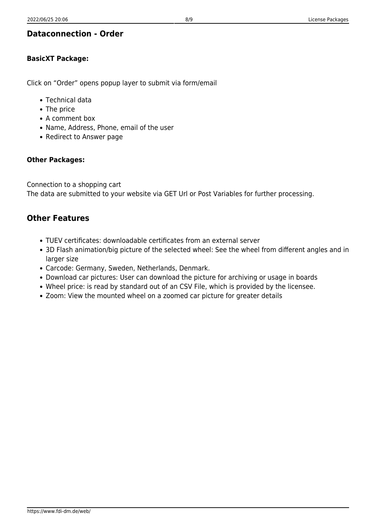# **Dataconnection - Order**

# **BasicXT Package:**

Click on "Order" opens popup layer to submit via form/email

- Technical data
- The price
- A comment box
- Name, Address, Phone, email of the user
- Redirect to Answer page

# **Other Packages:**

Connection to a shopping cart The data are submitted to your website via GET Url or Post Variables for further processing.

# **Other Features**

- TUEV certificates: downloadable certificates from an external server
- 3D Flash animation/big picture of the selected wheel: See the wheel from different angles and in larger size
- Carcode: Germany, Sweden, Netherlands, Denmark.
- Download car pictures: User can download the picture for archiving or usage in boards
- Wheel price: is read by standard out of an CSV File, which is provided by the licensee.
- Zoom: View the mounted wheel on a zoomed car picture for greater details